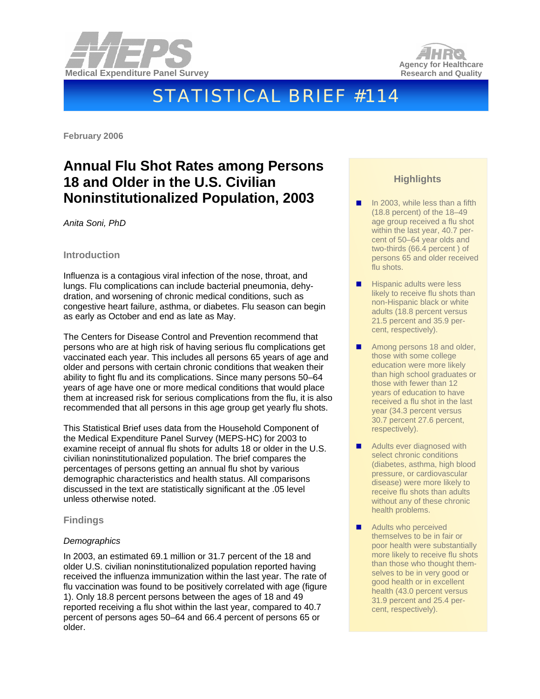



# STATISTICAL BRIEF #114

**February 2006** 

## **Annual Flu Shot Rates among Persons 18 and Older in the U.S. Civilian Noninstitutionalized Population, 2003**

*Anita Soni, PhD* 

#### **Introduction**

Influenza is a contagious viral infection of the nose, throat, and lungs. Flu complications can include bacterial pneumonia, dehydration, and worsening of chronic medical conditions, such as congestive heart failure, asthma, or diabetes. Flu season can begin as early as October and end as late as May.

The Centers for Disease Control and Prevention recommend that persons who are at high risk of having serious flu complications get vaccinated each year. This includes all persons 65 years of age and older and persons with certain chronic conditions that weaken their ability to fight flu and its complications. Since many persons 50–64 years of age have one or more medical conditions that would place them at increased risk for serious complications from the flu, it is also recommended that all persons in this age group get yearly flu shots.

This Statistical Brief uses data from the Household Component of the Medical Expenditure Panel Survey (MEPS-HC) for 2003 to examine receipt of annual flu shots for adults 18 or older in the U.S. civilian noninstitutionalized population. The brief compares the percentages of persons getting an annual flu shot by various demographic characteristics and health status. All comparisons discussed in the text are statistically significant at the .05 level unless otherwise noted.

#### **Findings**

#### *Demographics*

In 2003, an estimated 69.1 million or 31.7 percent of the 18 and older U.S. civilian noninstitutionalized population reported having received the influenza immunization within the last year. The rate of flu vaccination was found to be positively correlated with age (figure 1). Only 18.8 percent persons between the ages of 18 and 49 reported receiving a flu shot within the last year, compared to 40.7 percent of persons ages 50–64 and 66.4 percent of persons 65 or older.

### **Highlights**

- In 2003, while less than a fifth (18.8 percent) of the 18–49 age group received a flu shot within the last year, 40.7 percent of 50–64 year olds and two-thirds (66.4 percent ) of persons 65 and older received flu shots.
- $\blacksquare$  Hispanic adults were less likely to receive flu shots than non-Hispanic black or white adults (18.8 percent versus 21.5 percent and 35.9 percent, respectively).
- Among persons 18 and older, those with some college education were more likely than high school graduates or those with fewer than 12 years of education to have received a flu shot in the last year (34.3 percent versus 30.7 percent 27.6 percent, respectively).
- **Adults ever diagnosed with** select chronic conditions (diabetes, asthma, high blood pressure, or cardiovascular disease) were more likely to receive flu shots than adults without any of these chronic health problems.
- **Adults who perceived** themselves to be in fair or poor health were substantially more likely to receive flu shots than those who thought themselves to be in very good or good health or in excellent health (43.0 percent versus 31.9 percent and 25.4 percent, respectively).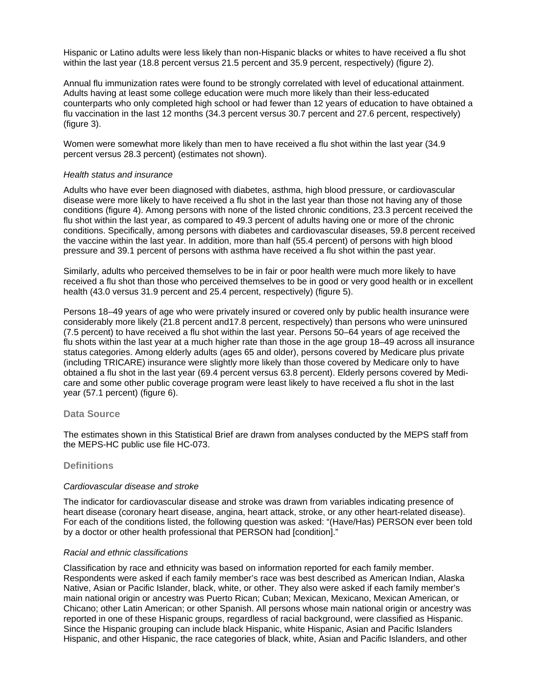Hispanic or Latino adults were less likely than non-Hispanic blacks or whites to have received a flu shot within the last year (18.8 percent versus 21.5 percent and 35.9 percent, respectively) (figure 2).

Annual flu immunization rates were found to be strongly correlated with level of educational attainment. Adults having at least some college education were much more likely than their less-educated counterparts who only completed high school or had fewer than 12 years of education to have obtained a flu vaccination in the last 12 months (34.3 percent versus 30.7 percent and 27.6 percent, respectively) (figure 3).

Women were somewhat more likely than men to have received a flu shot within the last year (34.9 percent versus 28.3 percent) (estimates not shown).

#### *Health status and insurance*

Adults who have ever been diagnosed with diabetes, asthma, high blood pressure, or cardiovascular disease were more likely to have received a flu shot in the last year than those not having any of those conditions (figure 4). Among persons with none of the listed chronic conditions, 23.3 percent received the flu shot within the last year, as compared to 49.3 percent of adults having one or more of the chronic conditions. Specifically, among persons with diabetes and cardiovascular diseases, 59.8 percent received the vaccine within the last year. In addition, more than half (55.4 percent) of persons with high blood pressure and 39.1 percent of persons with asthma have received a flu shot within the past year.

Similarly, adults who perceived themselves to be in fair or poor health were much more likely to have received a flu shot than those who perceived themselves to be in good or very good health or in excellent health (43.0 versus 31.9 percent and 25.4 percent, respectively) (figure 5).

Persons 18–49 years of age who were privately insured or covered only by public health insurance were considerably more likely (21.8 percent and17.8 percent, respectively) than persons who were uninsured (7.5 percent) to have received a flu shot within the last year. Persons 50–64 years of age received the flu shots within the last year at a much higher rate than those in the age group 18–49 across all insurance status categories. Among elderly adults (ages 65 and older), persons covered by Medicare plus private (including TRICARE) insurance were slightly more likely than those covered by Medicare only to have obtained a flu shot in the last year (69.4 percent versus 63.8 percent). Elderly persons covered by Medicare and some other public coverage program were least likely to have received a flu shot in the last year (57.1 percent) (figure 6).

#### **Data Source**

The estimates shown in this Statistical Brief are drawn from analyses conducted by the MEPS staff from the MEPS-HC public use file HC-073.

#### **Definitions**

#### *Cardiovascular disease and stroke*

The indicator for cardiovascular disease and stroke was drawn from variables indicating presence of heart disease (coronary heart disease, angina, heart attack, stroke, or any other heart-related disease). For each of the conditions listed, the following question was asked: "(Have/Has) PERSON ever been told by a doctor or other health professional that PERSON had [condition]."

#### *Racial and ethnic classifications*

Classification by race and ethnicity was based on information reported for each family member. Respondents were asked if each family member's race was best described as American Indian, Alaska Native, Asian or Pacific Islander, black, white, or other. They also were asked if each family member's main national origin or ancestry was Puerto Rican; Cuban; Mexican, Mexicano, Mexican American, or Chicano; other Latin American; or other Spanish. All persons whose main national origin or ancestry was reported in one of these Hispanic groups, regardless of racial background, were classified as Hispanic. Since the Hispanic grouping can include black Hispanic, white Hispanic, Asian and Pacific Islanders Hispanic, and other Hispanic, the race categories of black, white, Asian and Pacific Islanders, and other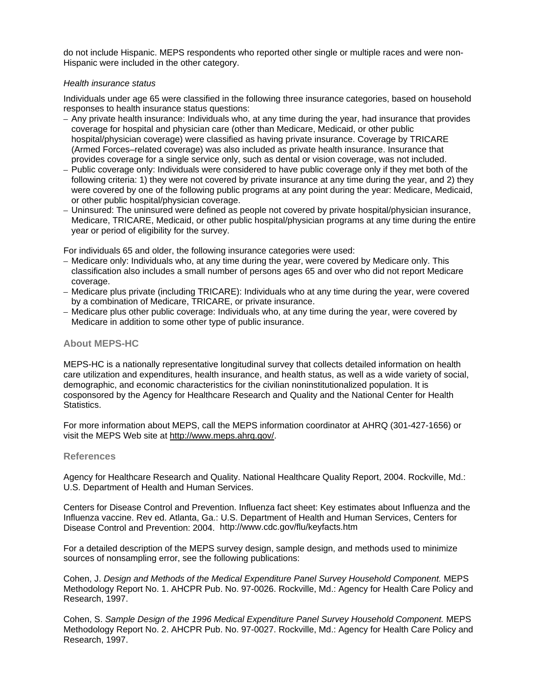do not include Hispanic. MEPS respondents who reported other single or multiple races and were non-Hispanic were included in the other category.

#### *Health insurance status*

Individuals under age 65 were classified in the following three insurance categories, based on household responses to health insurance status questions:

- Any private health insurance: Individuals who, at any time during the year, had insurance that provides coverage for hospital and physician care (other than Medicare, Medicaid, or other public hospital/physician coverage) were classified as having private insurance. Coverage by TRICARE (Armed Forces–related coverage) was also included as private health insurance. Insurance that provides coverage for a single service only, such as dental or vision coverage, was not included.
- Public coverage only: Individuals were considered to have public coverage only if they met both of the following criteria: 1) they were not covered by private insurance at any time during the year, and 2) they were covered by one of the following public programs at any point during the year: Medicare, Medicaid, or other public hospital/physician coverage.
- Uninsured: The uninsured were defined as people not covered by private hospital/physician insurance, Medicare, TRICARE, Medicaid, or other public hospital/physician programs at any time during the entire year or period of eligibility for the survey.

For individuals 65 and older, the following insurance categories were used:

- Medicare only: Individuals who, at any time during the year, were covered by Medicare only. This classification also includes a small number of persons ages 65 and over who did not report Medicare coverage.
- Medicare plus private (including TRICARE): Individuals who at any time during the year, were covered by a combination of Medicare, TRICARE, or private insurance.
- Medicare plus other public coverage: Individuals who, at any time during the year, were covered by Medicare in addition to some other type of public insurance.

#### **About MEPS-HC**

MEPS-HC is a nationally representative longitudinal survey that collects detailed information on health care utilization and expenditures, health insurance, and health status, as well as a wide variety of social, demographic, and economic characteristics for the civilian noninstitutionalized population. It is cosponsored by the Agency for Healthcare Research and Quality and the National Center for Health Statistics.

For more information about MEPS, call the MEPS information coordinator at AHRQ (301-427-1656) or visit the MEPS Web site at http://www.meps.ahrq.gov/.

#### **References**

Agency for Healthcare Research and Quality. National Healthcare Quality Report, 2004. Rockville, Md.: U.S. Department of Health and Human Services.

Centers for Disease Control and Prevention. Influenza fact sheet: Key estimates about Influenza and the Influenza vaccine. Rev ed. Atlanta, Ga.: U.S. Department of Health and Human Services, Centers for Disease Control and Prevention: 2004. http://www.cdc.gov/flu/keyfacts.htm

For a detailed description of the MEPS survey design, sample design, and methods used to minimize sources of nonsampling error, see the following publications:

Cohen, J. *Design and Methods of the Medical Expenditure Panel Survey Household Component.* MEPS Methodology Report No. 1. AHCPR Pub. No. 97-0026. Rockville, Md.: Agency for Health Care Policy and Research, 1997.

Cohen, S. *Sample Design of the 1996 Medical Expenditure Panel Survey Household Component.* MEPS Methodology Report No. 2. AHCPR Pub. No. 97-0027. Rockville, Md.: Agency for Health Care Policy and Research, 1997.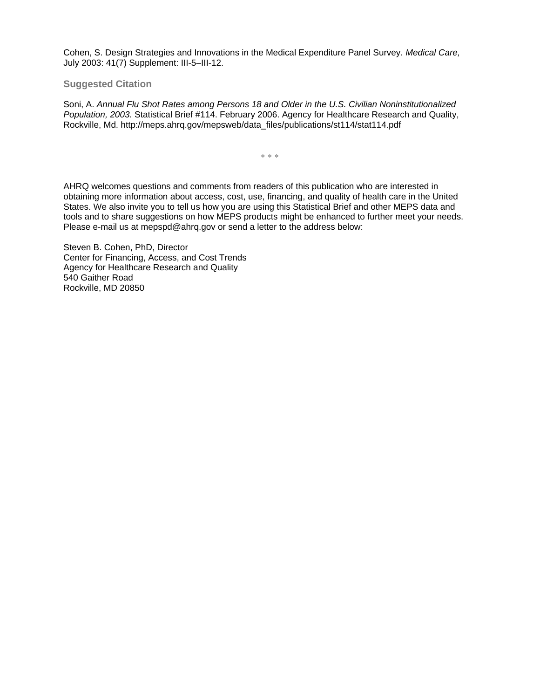Cohen, S. Design Strategies and Innovations in the Medical Expenditure Panel Survey. *Medical Care,* July 2003: 41(7) Supplement: III-5–III-12.

#### **Suggested Citation**

Soni, A. *Annual Flu Shot Rates among Persons 18 and Older in the U.S. Civilian Noninstitutionalized Population, 2003.* Statistical Brief #114. February 2006. Agency for Healthcare Research and Quality, Rockville, Md. http://meps.ahrq.gov/mepsweb/data\_files/publications/st114/stat114.pdf

∗ ∗ ∗

AHRQ welcomes questions and comments from readers of this publication who are interested in obtaining more information about access, cost, use, financing, and quality of health care in the United States. We also invite you to tell us how you are using this Statistical Brief and other MEPS data and tools and to share suggestions on how MEPS products might be enhanced to further meet your needs. Please e-mail us at mepspd@ahrq.gov or send a letter to the address below:

Steven B. Cohen, PhD, Director Center for Financing, Access, and Cost Trends Agency for Healthcare Research and Quality 540 Gaither Road Rockville, MD 20850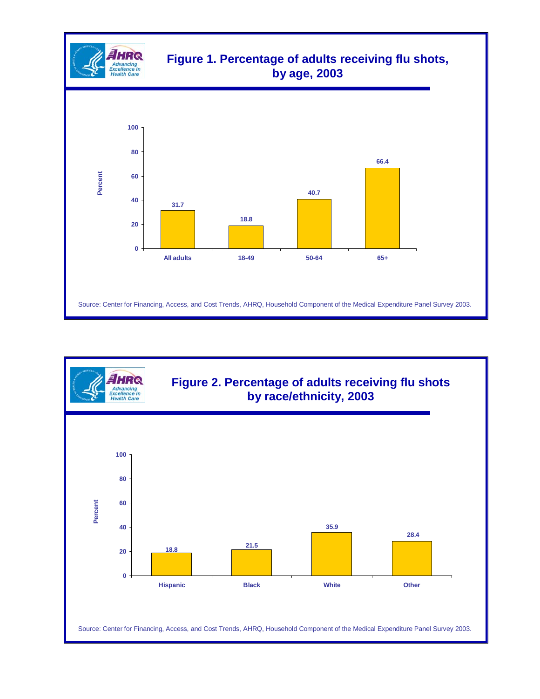

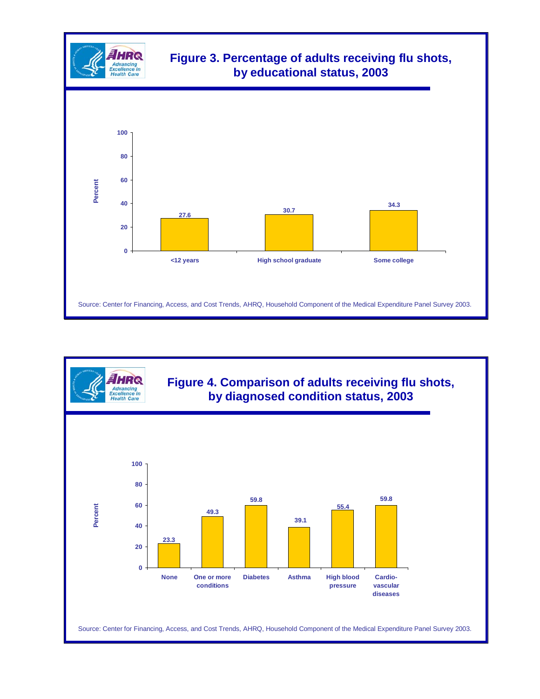